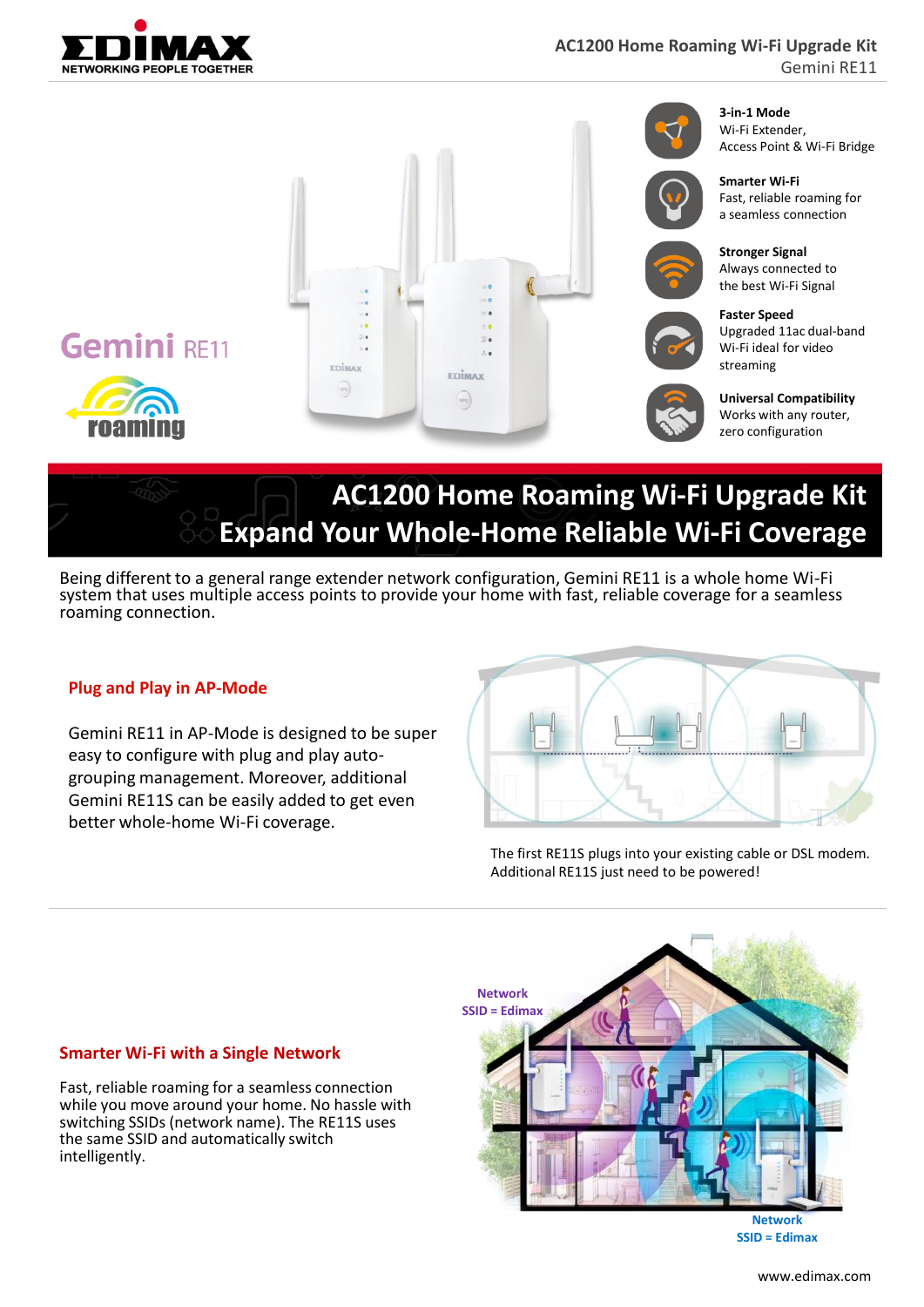

Gemini RE11



# **AC1200 Home Roaming Wi-Fi Upgrade Kit Expand Your Whole-Home Reliable Wi-Fi Coverage**

Being different to a general range extender network configuration, Gemini RE11 is a whole home Wi-Fi system that uses multiple access points to provide your home with fast, reliable coverage for a seamless roaming connection.

#### **Plug and Play in AP-Mode**

Gemini RE11 in AP-Mode is designed to be super easy to configure with plug and play autogrouping management. Moreover, additional Gemini RE11S can be easily added to get even better whole-home Wi-Fi coverage.

The first RE11S plugs into your existing cable or DSL modem. Additional RE11S just need to be powered!



**Network SSID = Edimax**

## **Smarter Wi-Fi with a Single Network**

Fast, reliable roaming for a seamless connection while you move around your home. No hassle with switching SSIDs (network name). The RE11S uses the same SSID and automatically switch intelligently.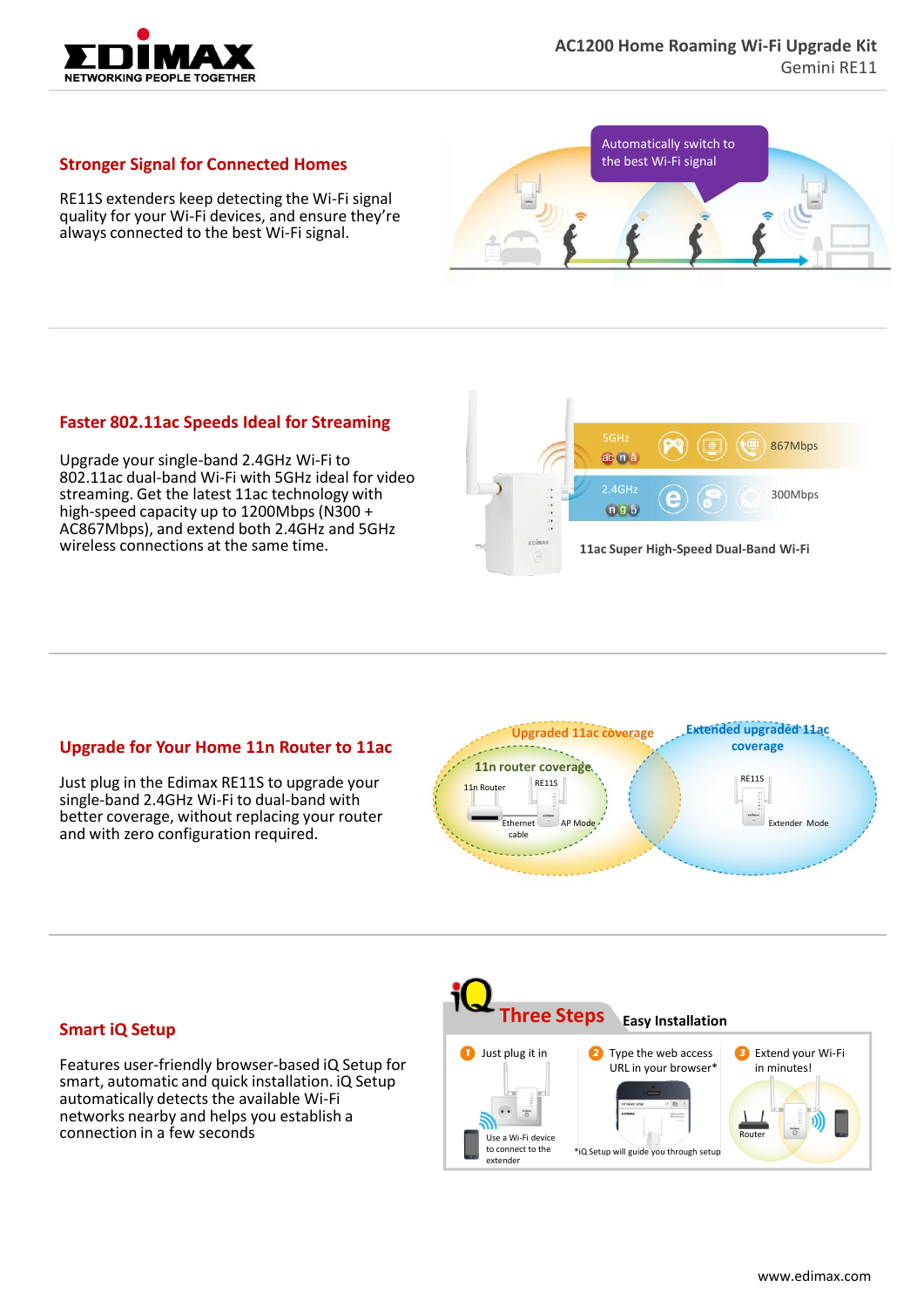

#### **Stronger Signal for Connected Homes**

RE11S extenders keep detecting the Wi-Fi signal quality for your Wi-Fi devices, and ensure they're always connected to the best Wi-Fi signal.



### **Faster 802.11ac Speeds Ideal for Streaming**

Upgrade your single-band 2.4GHz Wi-Fi to 802.11ac dual-band Wi-Fi with 5GHz ideal for video streaming. Get the latest 11ac technology with high-speed capacity up to 1200Mbps (N300 + AC867Mbps), and extend both 2.4GHz and 5GHz wireless connections at the same time.



#### **Upgrade for Your Home 11n Router to 11ac**

Just plug in the Edimax RE11S to upgrade your single-band 2.4GHz Wi-Fi to dual-band with better coverage, without replacing your router and with zero configuration required.



#### **Smart iQ Setup**

Features user-friendly browser-based iQ Setup for smart, automatic and quick installation. iQ Setup automatically detects the available Wi-Fi networks nearby and helps you establish a connection in a few seconds

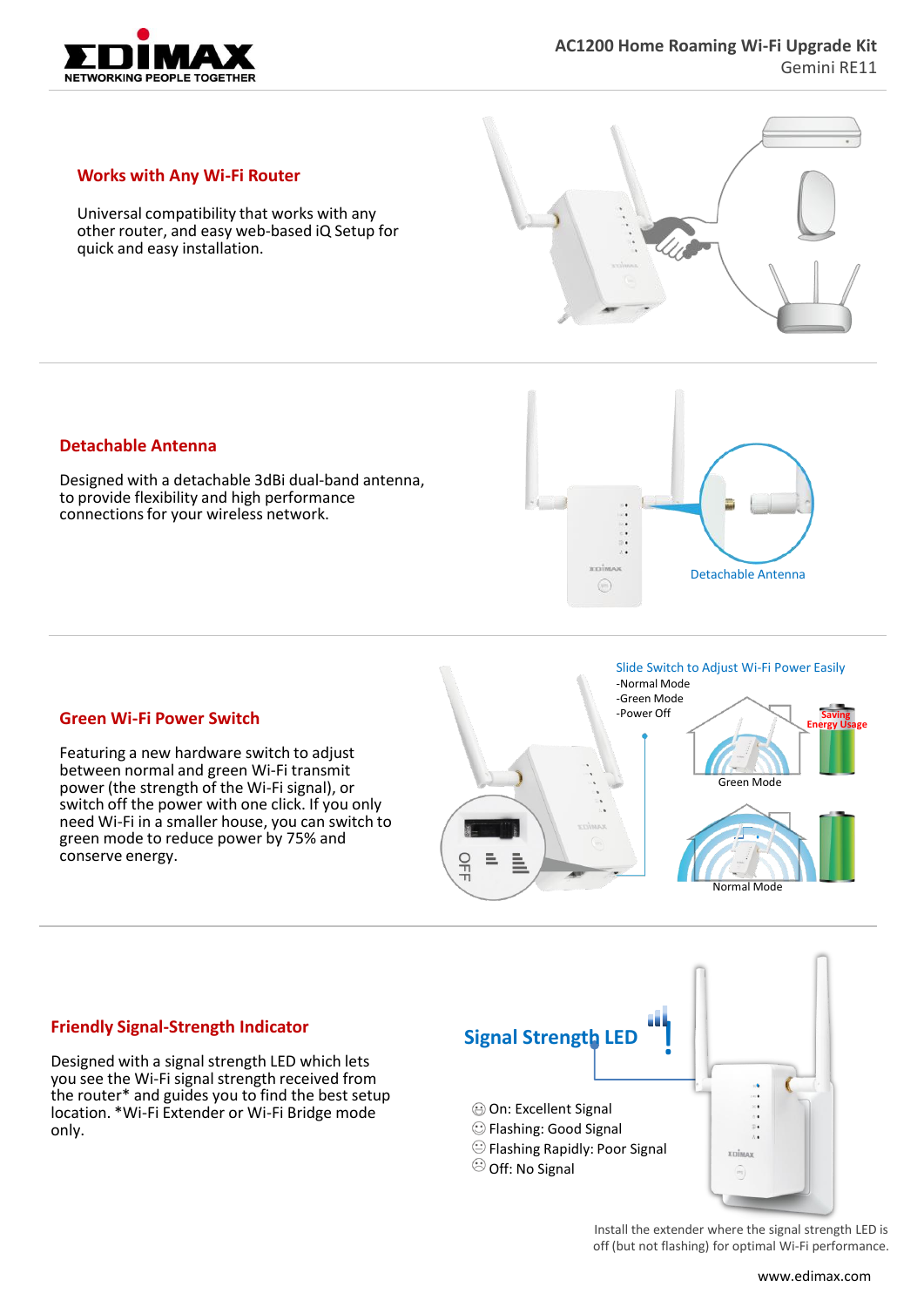

#### **Works with Any Wi-Fi Router**

Universal compatibility that works with any other router, and easy web-based iQ Setup for quick and easy installation.



#### **Detachable Antenna**

Designed with a detachable 3dBi dual-band antenna, to provide flexibility and high performance connections for your wireless network.



#### **Green Wi-Fi Power Switch**

Featuring a new hardware switch to adjust between normal and green Wi-Fi transmit power (the strength of the Wi-Fi signal), or switch off the power with one click. If you only need Wi-Fi in a smaller house, you can switch to green mode to reduce power by 75% and conserve energy.



#### **Friendly Signal-Strength Indicator**

Designed with a signal strength LED which lets you see the Wi-Fi signal strength received from the router\* and guides you to find the best setup location. \*Wi-Fi Extender or Wi-Fi Bridge mode only.



Install the extender where the signal strength LED is off (but not flashing) for optimal Wi-Fi performance.